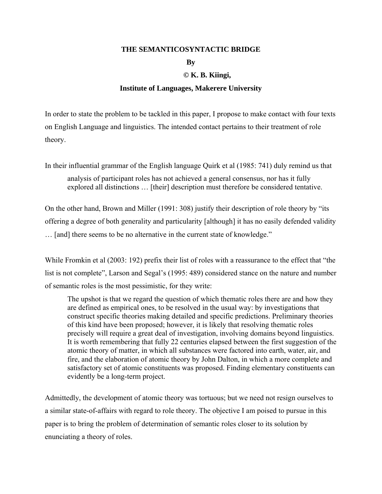#### **THE SEMANTICOSYNTACTIC BRIDGE**

### **By**

# **© K. B. Kiingi,**

## **Institute of Languages, Makerere University**

In order to state the problem to be tackled in this paper, I propose to make contact with four texts on English Language and linguistics. The intended contact pertains to their treatment of role theory.

In their influential grammar of the English language Quirk et al (1985: 741) duly remind us that

analysis of participant roles has not achieved a general consensus, nor has it fully explored all distinctions … [their] description must therefore be considered tentative.

On the other hand, Brown and Miller (1991: 308) justify their description of role theory by "its offering a degree of both generality and particularity [although] it has no easily defended validity … [and] there seems to be no alternative in the current state of knowledge."

While Fromkin et al (2003: 192) prefix their list of roles with a reassurance to the effect that "the list is not complete", Larson and Segal's (1995: 489) considered stance on the nature and number of semantic roles is the most pessimistic, for they write:

The upshot is that we regard the question of which thematic roles there are and how they are defined as empirical ones, to be resolved in the usual way: by investigations that construct specific theories making detailed and specific predictions. Preliminary theories of this kind have been proposed; however, it is likely that resolving thematic roles precisely will require a great deal of investigation, involving domains beyond linguistics. It is worth remembering that fully 22 centuries elapsed between the first suggestion of the atomic theory of matter, in which all substances were factored into earth, water, air, and fire, and the elaboration of atomic theory by John Dalton, in which a more complete and satisfactory set of atomic constituents was proposed. Finding elementary constituents can evidently be a long-term project.

Admittedly, the development of atomic theory was tortuous; but we need not resign ourselves to a similar state-of-affairs with regard to role theory. The objective I am poised to pursue in this paper is to bring the problem of determination of semantic roles closer to its solution by enunciating a theory of roles.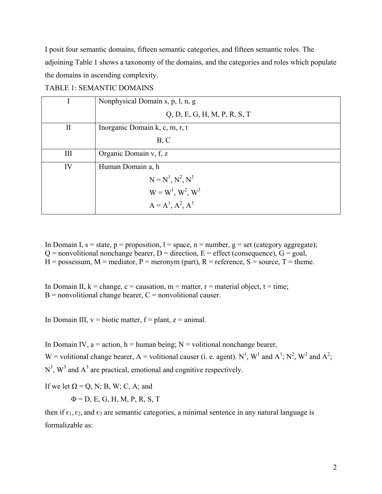I posit four semantic domains, fifteen semantic categories, and fifteen semantic roles. The adjoining Table 1 shows a taxonomy of the domains, and the categories and roles which populate the domains in ascending complexity.

|          | Nonphysical Domain s, p, l, n, g |
|----------|----------------------------------|
|          | Q, D, E, G, H, M, P, R, S, T     |
| $\rm II$ | Inorganic Domain k, c, m, r, t   |
|          | B, C                             |
| Ш        | Organic Domain v, f, z           |
| IV       | Human Domain a, h                |
|          | $N = N^1, N^2, N^3$              |
|          | $W = W^1, W^2, W^3$              |
|          | $A = A^1, A^2, A^3$              |

In Domain I,  $s = state$ ,  $p = proposition$ ,  $l = space$ ,  $n = number$ ,  $g = set$  (category aggregate);  $Q =$  nonvolitional nonchange bearer,  $D =$  direction,  $E =$  effect (consequence),  $G =$  goal,  $H =$  possessum,  $M =$  mediator,  $P =$  meronym (part),  $R =$  reference,  $S =$  source,  $T =$  theme.

In Domain II,  $k = change$ ,  $c = causation$ ,  $m = matter$ ,  $r = material object$ ,  $t = time$ ;  $B =$  nonvolitional change bearer,  $C =$  nonvolitional causer.

In Domain III,  $v = biotic matter$ ,  $f = plant$ ,  $z = animal$ .

In Domain IV,  $a = action$ ,  $h = human being$ ;  $N = volitional nonchange bearer$ , W = volitional change bearer, A = volitional causer (i. e. agent). N<sup>1</sup>, W<sup>1</sup> and A<sup>1</sup>; N<sup>2</sup>, W<sup>2</sup> and A<sup>2</sup>;  $N<sup>3</sup>$ ,  $W<sup>3</sup>$  and  $A<sup>3</sup>$  are practical, emotional and cognitive respectively.

If we let  $\Omega = Q$ , N; B, W; C, A; and

 $\Phi = D, E, G, H, M, P, R, S, T$ 

then if  $\epsilon_1$ ,  $\epsilon_2$ , and  $\epsilon_3$  are semantic categories, a minimal sentence in any natural language is formalizable as: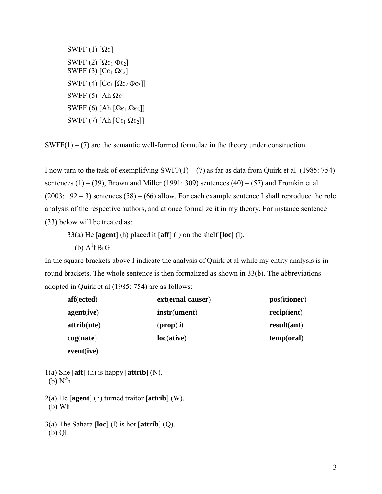SWFF (1)  $[Ωε]$ SWFF (2)  $[Ω<sub>ε<sub>1</sub></sub> Φ<sub>ε<sub>2</sub>]</sub>$ SWFF (3)  $[Ce<sub>1</sub> Ω<sub>ε<sub>2</sub>]</sub>$ SWFF (4)  $[C_{\epsilon_1} [\Omega \epsilon_2 \Phi \epsilon_3]]$ SWFF (5) [Ah Ω $\epsilon$ ] SWFF (6) [Ah  $[Ωε<sub>1</sub> Ωε<sub>2</sub>]$ ] SWFF (7) [Ah  $[Ce_1 \Omega e_2]$ ]

 $SWFF(1) - (7)$  are the semantic well-formed formulae in the theory under construction.

I now turn to the task of exemplifying SWFF $(1) - (7)$  as far as data from Quirk et al (1985: 754) sentences  $(1) - (39)$ , Brown and Miller (1991: 309) sentences  $(40) - (57)$  and Fromkin et al  $(2003: 192 - 3)$  sentences  $(58) - (66)$  allow. For each example sentence I shall reproduce the role analysis of the respective authors, and at once formalize it in my theory. For instance sentence (33) below will be treated as:

33(a) He [**agent**] (h) placed it [**aff**] (r) on the shelf [**loc**] (l).

 $(b)$  A<sup>1</sup>hBrGl

In the square brackets above I indicate the analysis of Quirk et al while my entity analysis is in round brackets. The whole sentence is then formalized as shown in 33(b). The abbreviations adopted in Quirk et al (1985: 754) are as follows:

| aff(ected) | ext(ernal causer) | pos(itioner) |
|------------|-------------------|--------------|
| agent(ive) | instr(ument)      | recip(ient)  |
| attribute) | $(prop)$ it       | result(ant)  |
| cog(nate)  | loc(ative)        | temp(oral)   |
| eventive)  |                   |              |

- 1(a) She [**aff**] (h) is happy [**attrib**] (N).  $(b)$  N<sup>2</sup>h
- 2(a) He [**agent**] (h) turned traitor [**attrib**] (W). (b) Wh
- 3(a) The Sahara [**loc**] (l) is hot [**attrib**] (Q). (b) Ql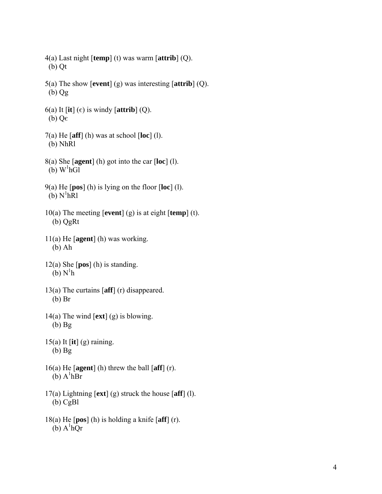- 4(a) Last night [**temp**] (t) was warm [**attrib**] (Q). (b) Qt
- 5(a) The show [**event**] (g) was interesting [**attrib**] (Q). (b) Qg
- 6(a) It  $\left[\text{it} \right]$  ( $\epsilon$ ) is windy  $\left[\text{attrib} \right]$  (Q). (b)  $Q\epsilon$
- 7(a) He [**aff**] (h) was at school [**loc**] (l). (b) NhRl
- 8(a) She [**agent**] (h) got into the car [**loc**] (l).  $(b)$  W<sup>1</sup>hGl
- 9(a) He [**pos**] (h) is lying on the floor [**loc**] (l).  $(b)$  N<sup>1</sup>hR<sub>1</sub>
- 10(a) The meeting [**event**] (g) is at eight [**temp**] (t). (b) QgRt
- 11(a) He [**agent**] (h) was working. (b) Ah
- 12(a) She [**pos**] (h) is standing.  $(b) N<sup>1</sup>h$
- 13(a) The curtains [**aff**] (r) disappeared. (b) Br
- 14(a) The wind [**ext**] (g) is blowing. (b) Bg
- 15(a) It [**it**] (g) raining. (b) Bg
- 16(a) He [**agent**] (h) threw the ball [**aff**] (r).  $(b)$  A<sup>1</sup>hBr
- 17(a) Lightning [**ext**] (g) struck the house [**aff**] (l). (b) CgBl
- 18(a) He [**pos**] (h) is holding a knife [**aff**] (r).  $(b)$  A<sup>1</sup>hQr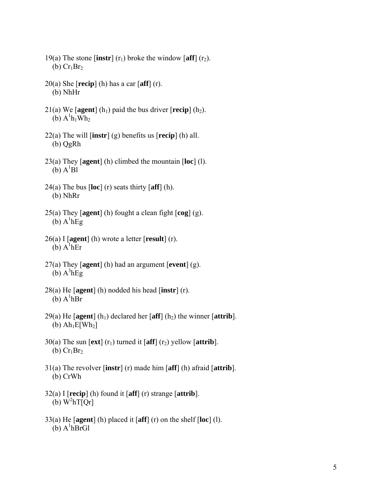- 19(a) The stone  $\left[$ **instr** $\right]$  (r<sub>1</sub>) broke the window  $\left[$ **aff** $\right]$  (r<sub>2</sub>). (b)  $Cr_1Br_2$
- 20(a) She [**recip**] (h) has a car [**aff**] (r). (b) NhHr
- 21(a) We  $\lceil \text{agent} \rceil$  (h<sub>1</sub>) paid the bus driver  $\lceil \text{recip} \rceil$  (h<sub>2</sub>).  $(b)$  A<sup>1</sup>h<sub>1</sub>Wh<sub>2</sub>
- 22(a) The will [**instr**] (g) benefits us [**recip**] (h) all. (b) QgRh
- 23(a) They [**agent**] (h) climbed the mountain [**loc**] (l).  $(b)$   $A^{1}B1$
- 24(a) The bus [**loc**] (r) seats thirty [**aff**] (h). (b) NhRr
- 25(a) They [**agent**] (h) fought a clean fight [**cog**] (g).  $(b)$  A<sup>1</sup>hEg
- 26(a) I [**agent**] (h) wrote a letter [**result**] (r).  $(b)$  A<sup>1</sup>hEr
- 27(a) They [**agent**] (h) had an argument [**event**] (g).  $(b)$   $A^3$ hEg
- 28(a) He [**agent**] (h) nodded his head [**instr**] (r).  $(b)$  A<sup>1</sup>hBr
- 29(a) He  $\lceil \text{agent} \rceil$  (h<sub>1</sub>) declared her  $\lceil \text{aff} \rceil$  (h<sub>2</sub>) the winner  $\lceil \text{attribute} \rceil$ . (b)  $Ah<sub>1</sub>E[Wh<sub>2</sub>]$
- 30(a) The sun  $[\text{ext}](r_1)$  turned it  $[\text{aff}](r_2)$  yellow  $[\text{attrib}]$ . (b)  $Cr<sub>1</sub>Br<sub>2</sub>$
- 31(a) The revolver [**instr**] (r) made him [**aff**] (h) afraid [**attrib**]. (b) CrWh
- 32(a) I [**recip**] (h) found it [**aff**] (r) strange [**attrib**]. (b)  $W^2 h T[Qr]$
- 33(a) He [**agent**] (h) placed it [**aff**] (r) on the shelf [**loc**] (l).  $(b)$  A<sup>1</sup>hBrGl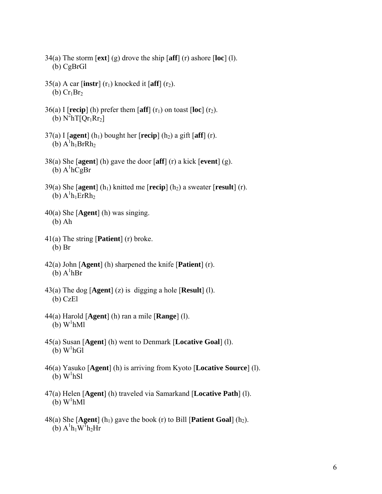- 34(a) The storm [**ext**] (g) drove the ship [**aff**] (r) ashore [**loc**] (l). (b) CgBrGl
- 35(a) A car  $\left[\text{instr}\right]$  (r<sub>1</sub>) knocked it  $\left[\text{aff}\right]$  (r<sub>2</sub>).  $(b) Cr<sub>1</sub>Br<sub>2</sub>$
- 36(a) I  $\lceil \text{recip} \rceil$  (h) prefer them  $\lceil \text{aff} \rceil$  (r<sub>1</sub>) on toast  $\lceil \text{loc} \rceil$  (r<sub>2</sub>). (b)  $N^2 h T [Qr_1 Rr_2]$
- $37(a)$  I [agent] (h<sub>1</sub>) bought her [**recip**] (h<sub>2</sub>) a gift [aff] (r). (b)  $A^1h_1BrRh_2$
- 38(a) She [**agent**] (h) gave the door [**aff**] (r) a kick [**event**] (g).  $(b)$  A<sup>1</sup>hCgBr
- 39(a) She  $\lceil \text{agent} \rceil$  (h<sub>1</sub>) knitted me  $\lceil \text{recip} \rceil$  (h<sub>2</sub>) a sweater  $\lceil \text{result} \rceil$  (r).  $(b)$  A<sup>1</sup>h<sub>1</sub>ErRh<sub>2</sub>
- 40(a) She [**Agent**] (h) was singing. (b) Ah
- 41(a) The string [**Patient**] (r) broke. (b) Br
- 42(a) John [**Agent**] (h) sharpened the knife [**Patient**] (r).  $(b)$  A<sup>1</sup>hBr
- 43(a) The dog [**Agent**] (z) is digging a hole [**Result**] (l). (b) CzEl
- 44(a) Harold [**Agent**] (h) ran a mile [**Range**] (l).  $(b)$  W<sup>1</sup>hMl
- 45(a) Susan [**Agent**] (h) went to Denmark [**Locative Goal**] (l).  $(b)$  W<sup>1</sup>hGl
- 46(a) Yasuko [**Agent**] (h) is arriving from Kyoto [**Locative Source**] (l).  $(b)$  W<sup>1</sup>hSl
- 47(a) Helen [**Agent**] (h) traveled via Samarkand [**Locative Path**] (l).  $(b)$  W<sup>1</sup>hMl
- 48(a) She  $[Agent]$  (h<sub>1</sub>) gave the book (r) to Bill [**Patient Goal**] (h<sub>2</sub>).  $(b)$  A<sup>1</sup>h<sub>1</sub>W<sup>I</sup>h<sub>2</sub>Hr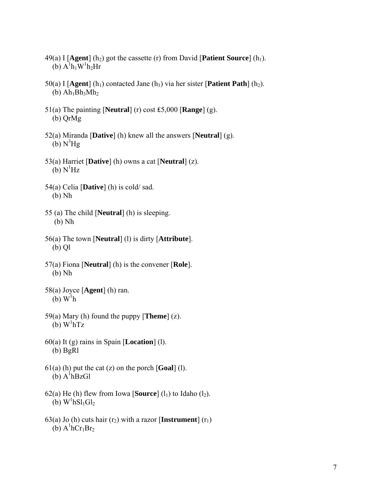- 49(a) I  $[$ **Agent** $]$  (h<sub>2</sub>) got the cassette (r) from David  $[$ **Patient Source** $]$  (h<sub>1</sub>). (b)  $A^1h_1W^1h_2Hr$
- 50(a) I  $[Agent]$  (h<sub>1</sub>) contacted Jane (h<sub>3</sub>) via her sister  $[Pational Path]$  (h<sub>2</sub>).  $(b)$  Ah<sub>1</sub>Bh<sub>3</sub>Mh<sub>2</sub>
- 51(a) The painting [**Neutral**] (r) cost ₤5,000 [**Range**] (g). (b) QrMg
- 52(a) Miranda [**Dative**] (h) knew all the answers [**Neutral**] (g).  $(b) N<sup>3</sup>Hg$
- 53(a) Harriet [**Dative**] (h) owns a cat [**Neutral**] (z).  $(b) N<sup>1</sup>Hz$
- 54(a) Celia [**Dative**] (h) is cold/ sad. (b) Nh
- 55 (a) The child [**Neutral**] (h) is sleeping. (b) Nh
- 56(a) The town [**Neutral**] (l) is dirty [**Attribute**]. (b) Ql
- 57(a) Fiona [**Neutral**] (h) is the convener [**Role**]. (b) Nh
- 58(a) Joyce [**Agent**] (h) ran.  $(b)$  W<sup>1</sup>h
- 59(a) Mary (h) found the puppy [**Theme**] (z).  $(b)$  W<sup>1</sup>hTz
- 60(a) It (g) rains in Spain [**Location**] (l). (b) BgRl
- 61(a) (h) put the cat (z) on the porch [**Goal**] (l).  $(b)$  A<sup>1</sup>hBzGl
- 62(a) He (h) flew from Iowa [**Source**]  $(l_1)$  to Idaho  $(l_2)$ .  $(b)$  W<sup>1</sup>hSl<sub>1</sub>Gl<sub>2</sub>
- 63(a) Jo (h) cuts hair  $(r_2)$  with a razor [**Instrument**]  $(r_1)$  $(b)$  A<sup>1</sup>hCr<sub>1</sub>Br<sub>2</sub>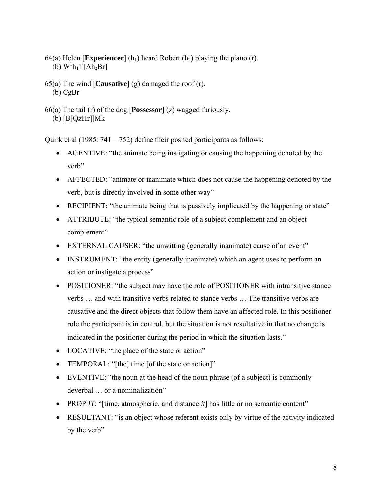- 64(a) Helen [**Experiencer**] (h<sub>1</sub>) heard Robert (h<sub>2</sub>) playing the piano (r). (b)  $W<sup>1</sup>h<sub>1</sub>T[Ah<sub>2</sub>Br]$
- 65(a) The wind [**Causative**] (g) damaged the roof (r). (b) CgBr
- 66(a) The tail (r) of the dog [**Possessor**] (z) wagged furiously. (b) [B[QzHr]]Mk

Quirk et al (1985: 741 – 752) define their posited participants as follows:

- AGENTIVE: "the animate being instigating or causing the happening denoted by the verb"
- AFFECTED: "animate or inanimate which does not cause the happening denoted by the verb, but is directly involved in some other way"
- RECIPIENT: "the animate being that is passively implicated by the happening or state"
- ATTRIBUTE: "the typical semantic role of a subject complement and an object complement"
- EXTERNAL CAUSER: "the unwitting (generally inanimate) cause of an event"
- INSTRUMENT: "the entity (generally inanimate) which an agent uses to perform an action or instigate a process"
- POSITIONER: "the subject may have the role of POSITIONER with intransitive stance verbs … and with transitive verbs related to stance verbs … The transitive verbs are causative and the direct objects that follow them have an affected role. In this positioner role the participant is in control, but the situation is not resultative in that no change is indicated in the positioner during the period in which the situation lasts."
- LOCATIVE: "the place of the state or action"
- TEMPORAL: "[the] time [of the state or action]"
- EVENTIVE: "the noun at the head of the noun phrase (of a subject) is commonly deverbal … or a nominalization"
- PROP *IT*: "[time, atmospheric, and distance *it*] has little or no semantic content"
- RESULTANT: "is an object whose referent exists only by virtue of the activity indicated by the verb"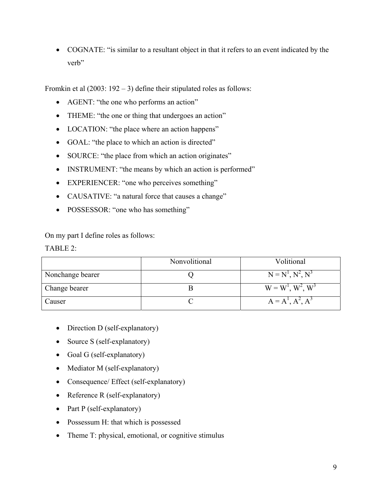• COGNATE: "is similar to a resultant object in that it refers to an event indicated by the verb"

Fromkin et al  $(2003: 192 - 3)$  define their stipulated roles as follows:

- AGENT: "the one who performs an action"
- THEME: "the one or thing that undergoes an action"
- LOCATION: "the place where an action happens"
- GOAL: "the place to which an action is directed"
- SOURCE: "the place from which an action originates"
- INSTRUMENT: "the means by which an action is performed"
- EXPERIENCER: "one who perceives something"
- CAUSATIVE: "a natural force that causes a change"
- POSSESSOR: "one who has something"

On my part I define roles as follows:

 $TABLE 2$ 

|                  | Nonvolitional | Volitional          |
|------------------|---------------|---------------------|
| Nonchange bearer |               | $N = N1, N2, N3$    |
| Change bearer    |               | $W = W^1, W^2, W^3$ |
| Causer           |               | $A = AT, A2, A3$    |

- Direction D (self-explanatory)
- Source S (self-explanatory)
- Goal G (self-explanatory)
- Mediator M (self-explanatory)
- Consequence/ Effect (self-explanatory)
- Reference R (self-explanatory)
- Part P (self-explanatory)
- Possessum H: that which is possessed
- Theme T: physical, emotional, or cognitive stimulus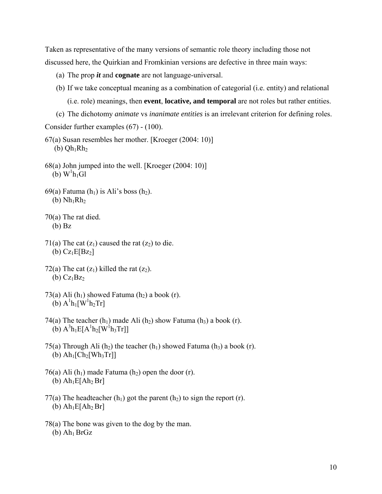Taken as representative of the many versions of semantic role theory including those not discussed here, the Quirkian and Fromkinian versions are defective in three main ways:

- (a) The prop *it* and **cognate** are not language-universal.
- (b) If we take conceptual meaning as a combination of categorial (i.e. entity) and relational

(i.e. role) meanings, then **event**, **locative, and temporal** are not roles but rather entities.

(c) The dichotomy *animate* vs *inanimate entities* is an irrelevant criterion for defining roles.

Consider further examples (67) - (100).

- 67(a) Susan resembles her mother. [Kroeger (2004: 10)] (b)  $Qh_1Rh_2$
- 68(a) John jumped into the well. [Kroeger (2004: 10)]  $(b)$  W<sup>1</sup>h<sub>1</sub>Gl
- 69(a) Fatuma  $(h_1)$  is Ali's boss  $(h_2)$ . (b)  $Nh_1Rh_2$
- 70(a) The rat died. (b) Bz
- 71(a) The cat  $(z_1)$  caused the rat  $(z_2)$  to die. (b)  $Cz_1E[Bz_2]$
- 72(a) The cat  $(z_1)$  killed the rat  $(z_2)$ . (b)  $Cz_1Bz_2$
- 73(a) Ali  $(h_1)$  showed Fatuma  $(h_2)$  a book  $(r)$ . (b)  $A^{1}h_{1}[W^{1}h_{2}Tr]$
- 74(a) The teacher  $(h_1)$  made Ali  $(h_2)$  show Fatuma  $(h_3)$  a book (r). (b)  $A^{3}h_{1}E[A^{1}h_{2}[W^{1}h_{3}Tr]]$
- 75(a) Through Ali (h<sub>2</sub>) the teacher (h<sub>1</sub>) showed Fatuma (h<sub>3</sub>) a book (r). (b)  $Ah_1[Ch_2[Wh_3Tr]]$
- 76(a) Ali  $(h_1)$  made Fatuma  $(h_2)$  open the door (r). (b)  $Ah<sub>1</sub>E[Ah<sub>2</sub> Br]$
- 77(a) The headteacher  $(h_1)$  got the parent  $(h_2)$  to sign the report (r). (b)  $Ah<sub>1</sub>E[Ah<sub>2</sub> Br]$
- 78(a) The bone was given to the dog by the man.  $(b)$  Ah<sub>1</sub> BrGz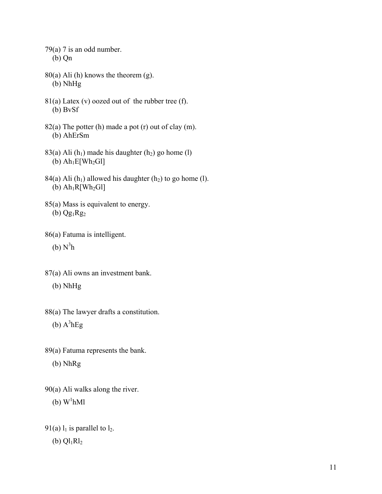$79(a)$  7 is an odd number. (b) Qn

- $80(a)$  Ali (h) knows the theorem (g). (b) NhHg
- $81(a)$  Latex (v) oozed out of the rubber tree (f). (b) BvSf
- 82(a) The potter (h) made a pot (r) out of clay (m). (b) AhErSm
- 83(a) Ali  $(h_1)$  made his daughter  $(h_2)$  go home  $(l)$ (b)  $Ah_1E[Wh_2Gl]$
- 84(a) Ali (h<sub>1</sub>) allowed his daughter (h<sub>2</sub>) to go home (l). (b)  $Ah<sub>1</sub>R[Wh<sub>2</sub>G1]$
- 85(a) Mass is equivalent to energy.  $(b)$  Qg<sub>1</sub>Rg<sub>2</sub>
- 86(a) Fatuma is intelligent.
- (b)  $N^3h$
- 87(a) Ali owns an investment bank.
	- (b) NhHg
- 88(a) The lawyer drafts a constitution.
- (b)  $A^3hEg$
- 89(a) Fatuma represents the bank.
	- (b) NhRg
- 90(a) Ali walks along the river.
- (b)  $W^1hMI$
- 91(a)  $l_1$  is parallel to  $l_2$ .
	- (b)  $Ql_1Rl_2$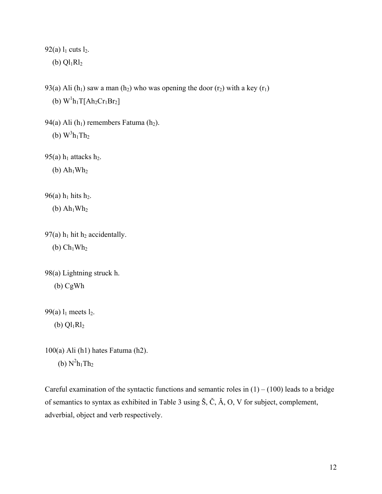92(a)  $l_1$  cuts  $l_2$ .

(b)  $Ql_1Rl_2$ 

93(a) Ali (h<sub>1</sub>) saw a man (h<sub>2</sub>) who was opening the door (r<sub>2</sub>) with a key (r<sub>1</sub>) (b)  $W^1h_1T[Ah_2Cr_1Br_2]$ 

94(a) Ali  $(h_1)$  remembers Fatuma  $(h_2)$ . (b)  $W^3h_1Th_2$ 

95(a)  $h_1$  attacks  $h_2$ .

(b)  $Ah<sub>1</sub>Wh<sub>2</sub>$ 

96(a)  $h_1$  hits  $h_2$ .

 $(b)$  Ah<sub>1</sub>Wh<sub>2</sub>

97(a)  $h_1$  hit  $h_2$  accidentally. (b)  $\text{Ch}_1\text{Wh}_2$ 

```
98(a) Lightning struck h. 
(b) CgWh
```
99(a)  $l_1$  meets  $l_2$ .

(b)  $Ql_1Rl_2$ 

100(a) Ali (h1) hates Fatuma (h2). (b)  $N^2h_1Th_2$ 

Careful examination of the syntactic functions and semantic roles in  $(1) - (100)$  leads to a bridge of semantics to syntax as exhibited in Table 3 using Š, Č, Ă, O, V for subject, complement, adverbial, object and verb respectively.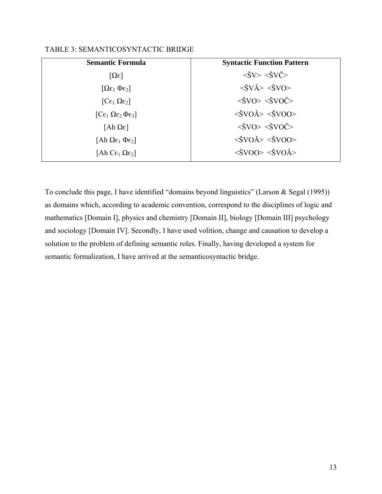| TABLE 3: SEMANTICOSYNTACTIC BRIDGE |  |
|------------------------------------|--|
|                                    |  |

| <b>Semantic Formula</b>                                  | <b>Syntactic Function Pattern</b>                                  |
|----------------------------------------------------------|--------------------------------------------------------------------|
| $[\Omega \epsilon]$                                      | $\langle \check{S}V \rangle \langle \check{S}V\check{C}\rangle$    |
| $[\Omega \varepsilon_1 \Phi \varepsilon_2]$              | $\langle \check{S}V \check{A} \rangle \langle \check{S}VO \rangle$ |
| $[Ce_1 \Omega e_2]$                                      | $\langle \text{SVO}\rangle \langle \text{SVOC}\rangle$             |
| $[C_{\epsilon_1} \Omega_{\epsilon_2} \Phi_{\epsilon_3}]$ | $\langle \text{SVOÅ}\rangle \langle \text{SVOO}\rangle$            |
| $[Ah \Omega \epsilon]$                                   | $\langle \text{SVO} \rangle \langle \text{SVO} \rangle$            |
| [Ah $\Omega \epsilon_1 \Phi \epsilon_2$ ]                | $\langle \text{SVOÅ}\rangle \langle \text{SVOO}\rangle$            |
| [Ah C $\varepsilon_1$ $\Omega \varepsilon_2$ ]           | $\langle \text{SVOO} \rangle \langle \text{SVOÅ} \rangle$          |

To conclude this page, I have identified "domains beyond linguistics" (Larson & Segal (1995)) as domains which, according to academic convention, correspond to the disciplines of logic and mathematics [Domain I], physics and chemistry [Domain II], biology [Domain III] psychology and sociology [Domain IV]. Secondly, I have used volition, change and causation to develop a solution to the problem of defining semantic roles. Finally, having developed a system for semantic formalization, I have arrived at the semanticosyntactic bridge.